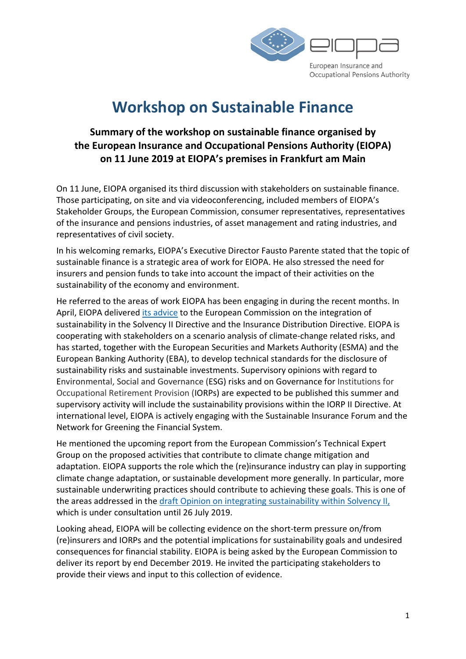

# Workshop on Sustainable Finance

## Summary of the workshop on sustainable finance organised by the European Insurance and Occupational Pensions Authority (EIOPA) on 11 June 2019 at EIOPA's premises in Frankfurt am Main

On 11 June, EIOPA organised its third discussion with stakeholders on sustainable finance. Those participating, on site and via videoconferencing, included members of EIOPA's Stakeholder Groups, the European Commission, consumer representatives, representatives of the insurance and pensions industries, of asset management and rating industries, and representatives of civil society.

In his welcoming remarks, EIOPA's Executive Director Fausto Parente stated that the topic of sustainable finance is a strategic area of work for EIOPA. He also stressed the need for insurers and pension funds to take into account the impact of their activities on the sustainability of the economy and environment.

He referred to the areas of work EIOPA has been engaging in during the recent months. In April, EIOPA delivered its advice to the European Commission on the integration of sustainability in the Solvency II Directive and the Insurance Distribution Directive. EIOPA is cooperating with stakeholders on a scenario analysis of climate-change related risks, and has started, together with the European Securities and Markets Authority (ESMA) and the European Banking Authority (EBA), to develop technical standards for the disclosure of sustainability risks and sustainable investments. Supervisory opinions with regard to Environmental, Social and Governance (ESG) risks and on Governance for Institutions for Occupational Retirement Provision (IORPs) are expected to be published this summer and supervisory activity will include the sustainability provisions within the IORP II Directive. At international level, EIOPA is actively engaging with the Sustainable Insurance Forum and the Network for Greening the Financial System.

He mentioned the upcoming report from the European Commission's Technical Expert Group on the proposed activities that contribute to climate change mitigation and adaptation. EIOPA supports the role which the (re)insurance industry can play in supporting climate change adaptation, or sustainable development more generally. In particular, more sustainable underwriting practices should contribute to achieving these goals. This is one of the areas addressed in the draft Opinion on integrating sustainability within Solvency II, which is under consultation until 26 July 2019.

Looking ahead, EIOPA will be collecting evidence on the short-term pressure on/from (re)insurers and IORPs and the potential implications for sustainability goals and undesired consequences for financial stability. EIOPA is being asked by the European Commission to deliver its report by end December 2019. He invited the participating stakeholders to provide their views and input to this collection of evidence.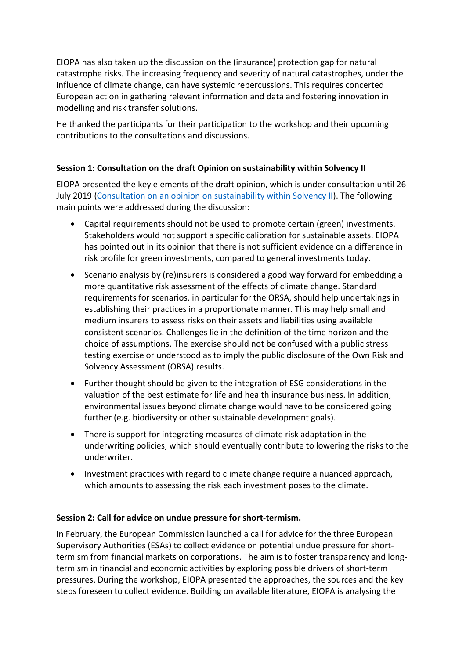EIOPA has also taken up the discussion on the (insurance) protection gap for natural catastrophe risks. The increasing frequency and severity of natural catastrophes, under the influence of climate change, can have systemic repercussions. This requires concerted European action in gathering relevant information and data and fostering innovation in modelling and risk transfer solutions.

He thanked the participants for their participation to the workshop and their upcoming contributions to the consultations and discussions.

### Session 1: Consultation on the draft Opinion on sustainability within Solvency II

EIOPA presented the key elements of the draft opinion, which is under consultation until 26 July 2019 (Consultation on an opinion on sustainability within Solvency II). The following main points were addressed during the discussion:

- Capital requirements should not be used to promote certain (green) investments. Stakeholders would not support a specific calibration for sustainable assets. EIOPA has pointed out in its opinion that there is not sufficient evidence on a difference in risk profile for green investments, compared to general investments today.
- Scenario analysis by (re)insurers is considered a good way forward for embedding a more quantitative risk assessment of the effects of climate change. Standard requirements for scenarios, in particular for the ORSA, should help undertakings in establishing their practices in a proportionate manner. This may help small and medium insurers to assess risks on their assets and liabilities using available consistent scenarios. Challenges lie in the definition of the time horizon and the choice of assumptions. The exercise should not be confused with a public stress testing exercise or understood as to imply the public disclosure of the Own Risk and Solvency Assessment (ORSA) results.
- Further thought should be given to the integration of ESG considerations in the valuation of the best estimate for life and health insurance business. In addition, environmental issues beyond climate change would have to be considered going further (e.g. biodiversity or other sustainable development goals).
- There is support for integrating measures of climate risk adaptation in the underwriting policies, which should eventually contribute to lowering the risks to the underwriter.
- Investment practices with regard to climate change require a nuanced approach, which amounts to assessing the risk each investment poses to the climate.

### Session 2: Call for advice on undue pressure for short-termism.

In February, the European Commission launched a call for advice for the three European Supervisory Authorities (ESAs) to collect evidence on potential undue pressure for shorttermism from financial markets on corporations. The aim is to foster transparency and longtermism in financial and economic activities by exploring possible drivers of short-term pressures. During the workshop, EIOPA presented the approaches, the sources and the key steps foreseen to collect evidence. Building on available literature, EIOPA is analysing the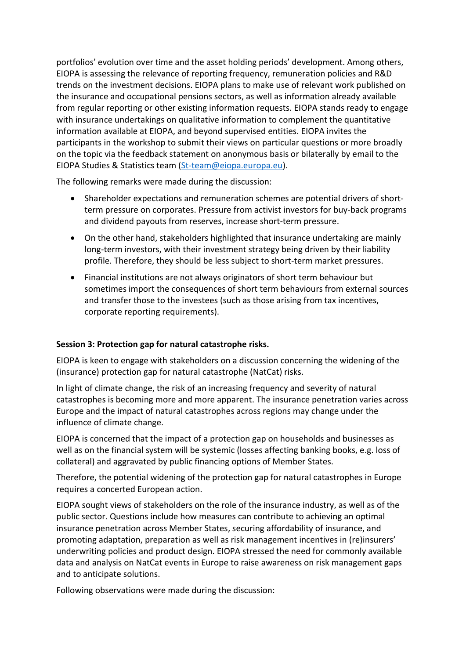portfolios' evolution over time and the asset holding periods' development. Among others, EIOPA is assessing the relevance of reporting frequency, remuneration policies and R&D trends on the investment decisions. EIOPA plans to make use of relevant work published on the insurance and occupational pensions sectors, as well as information already available from regular reporting or other existing information requests. EIOPA stands ready to engage with insurance undertakings on qualitative information to complement the quantitative information available at EIOPA, and beyond supervised entities. EIOPA invites the participants in the workshop to submit their views on particular questions or more broadly on the topic via the feedback statement on anonymous basis or bilaterally by email to the EIOPA Studies & Statistics team (St-team@eiopa.europa.eu).

The following remarks were made during the discussion:

- Shareholder expectations and remuneration schemes are potential drivers of shortterm pressure on corporates. Pressure from activist investors for buy-back programs and dividend payouts from reserves, increase short-term pressure.
- On the other hand, stakeholders highlighted that insurance undertaking are mainly long-term investors, with their investment strategy being driven by their liability profile. Therefore, they should be less subject to short-term market pressures.
- Financial institutions are not always originators of short term behaviour but sometimes import the consequences of short term behaviours from external sources and transfer those to the investees (such as those arising from tax incentives, corporate reporting requirements).

### Session 3: Protection gap for natural catastrophe risks.

EIOPA is keen to engage with stakeholders on a discussion concerning the widening of the (insurance) protection gap for natural catastrophe (NatCat) risks.

In light of climate change, the risk of an increasing frequency and severity of natural catastrophes is becoming more and more apparent. The insurance penetration varies across Europe and the impact of natural catastrophes across regions may change under the influence of climate change.

EIOPA is concerned that the impact of a protection gap on households and businesses as well as on the financial system will be systemic (losses affecting banking books, e.g. loss of collateral) and aggravated by public financing options of Member States.

Therefore, the potential widening of the protection gap for natural catastrophes in Europe requires a concerted European action.

EIOPA sought views of stakeholders on the role of the insurance industry, as well as of the public sector. Questions include how measures can contribute to achieving an optimal insurance penetration across Member States, securing affordability of insurance, and promoting adaptation, preparation as well as risk management incentives in (re)insurers' underwriting policies and product design. EIOPA stressed the need for commonly available data and analysis on NatCat events in Europe to raise awareness on risk management gaps and to anticipate solutions.

Following observations were made during the discussion: